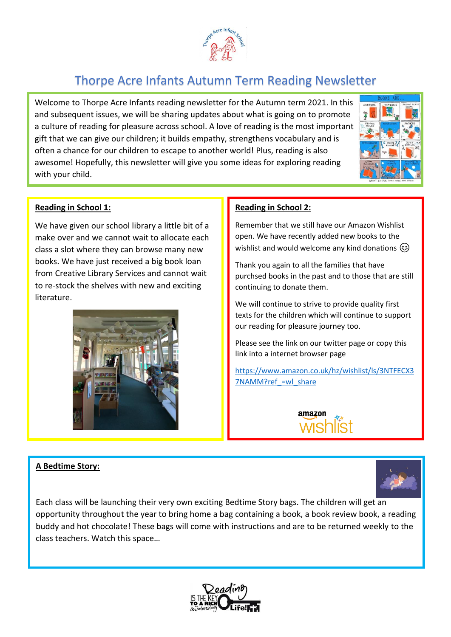

# Thorpe Acre Infants Autumn Term Reading Newsletter

Welcome to Thorpe Acre Infants reading newsletter for the Autumn term 2021. In this and subsequent issues, we will be sharing updates about what is going on to promote a culture of reading for pleasure across school. A love of reading is the most important gift that we can give our children; it builds empathy, strengthens vocabulary and is often a chance for our children to escape to another world! Plus, reading is also awesome! Hopefully, this newsletter will give you some ideas for exploring reading with your child.



## **Reading in School 1:**

We have given our school library a little bit of a make over and we cannot wait to allocate each class a slot where they can browse many new books. We have just received a big book loan from Creative Library Services and cannot wait to re-stock the shelves with new and exciting literature.



## **A Bedtime Story:**

## **Reading in School 2:**

Remember that we still have our Amazon Wishlist open. We have recently added new books to the wishlist and would welcome any kind donations  $\circled{e}$ 

Thank you again to all the families that have purchsed books in the past and to those that are still continuing to donate them.

We will continue to strive to provide quality first texts for the children which will continue to support our reading for pleasure journey too.

Please see the link on our twitter page or copy this link into a internet browser page

[https://www.amazon.co.uk/hz/wishlist/ls/3NTFECX3](https://www.amazon.co.uk/hz/wishlist/ls/3NTFECX37NAMM?ref_=wl_share) 7NAMM?ref =wl\_share





Each class will be launching their very own exciting Bedtime Story bags. The children will get an opportunity throughout the year to bring home a bag containing a book, a book review book, a reading buddy and hot chocolate! These bags will come with instructions and are to be returned weekly to the class teachers. Watch this space…